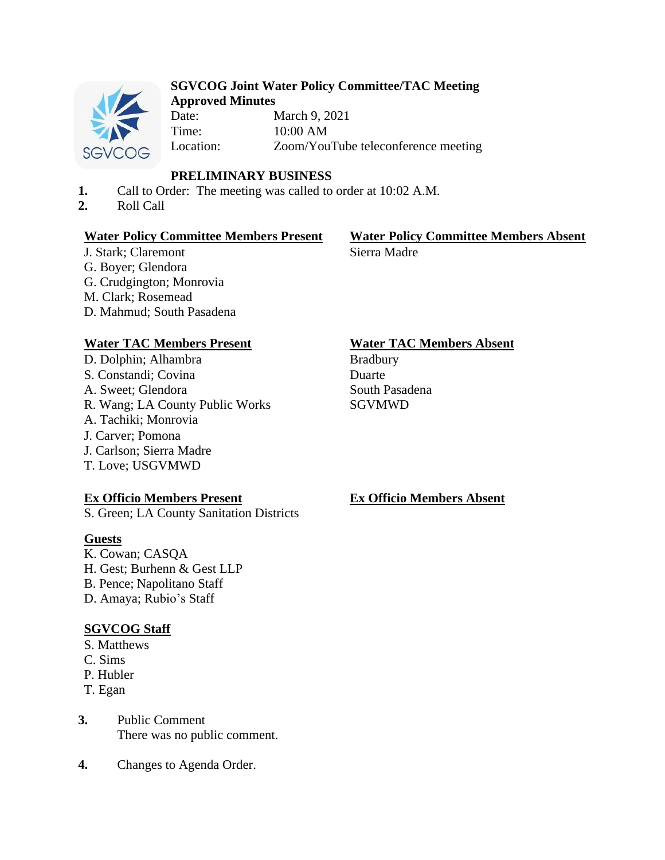

#### **SGVCOG Joint Water Policy Committee/TAC Meeting Approved Minutes**

Date: March 9, 2021 Time: 10:00 AM Location: Zoom/YouTube teleconference meeting

# **PRELIMINARY BUSINESS**

- **1.** Call to Order: The meeting was called to order at 10:02 A.M.
- **2.** Roll Call

## **Water Policy Committee Members Present Water Policy Committee Members Absent**

J. Stark; Claremont G. Boyer; Glendora G. Crudgington; Monrovia M. Clark; Rosemead D. Mahmud; South Pasadena

# Sierra Madre

D. Dolphin; Alhambra S. Constandi; Covina A. Sweet; Glendora R. Wang; LA County Public Works A. Tachiki; Monrovia J. Carver; Pomona J. Carlson; Sierra Madre T. Love; USGVMWD

# **Ex Officio Members Present**

S. Green; LA County Sanitation Districts

## **Guests**

K. Cowan; CASQA H. Gest; Burhenn & Gest LLP B. Pence; Napolitano Staff D. Amaya; Rubio's Staff

# **SGVCOG Staff**

- S. Matthews
- C. Sims
- P. Hubler
- T. Egan
- **3.** Public Comment There was no public comment.
- **4.** Changes to Agenda Order.

# **Water TAC Members Present Water TAC Members Absent**

Bradbury Duarte South Pasadena SGVMWD

## **Ex Officio Members Absent**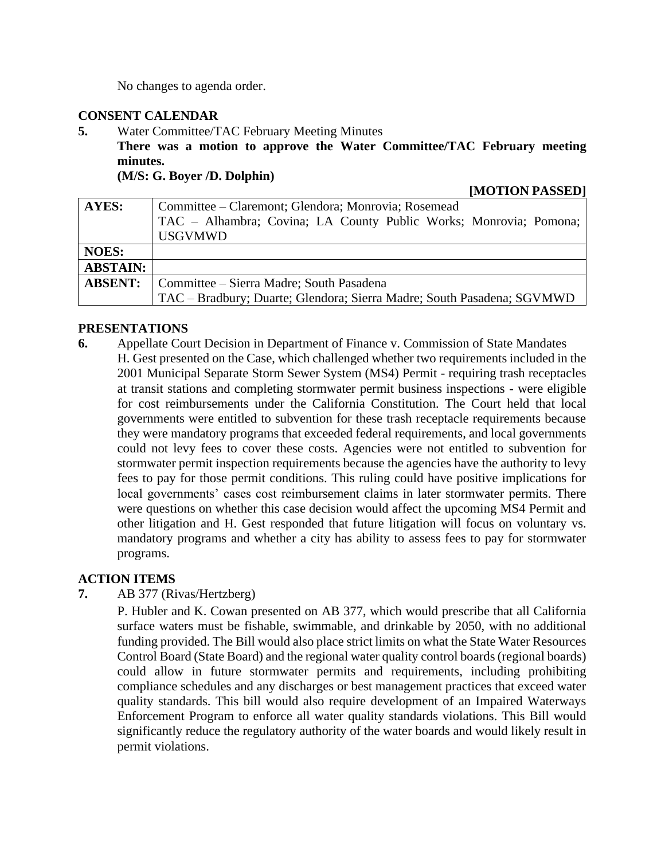No changes to agenda order.

#### **CONSENT CALENDAR**

**5.** Water Committee/TAC February Meeting Minutes

**There was a motion to approve the Water Committee/TAC February meeting minutes.**

**(M/S: G. Boyer /D. Dolphin)**

**[MOTION PASSED]**

| <b>AYES:</b>    | Committee – Claremont; Glendora; Monrovia; Rosemead                    |
|-----------------|------------------------------------------------------------------------|
|                 | TAC - Alhambra; Covina; LA County Public Works; Monrovia; Pomona;      |
|                 | <b>USGVMWD</b>                                                         |
| <b>NOES:</b>    |                                                                        |
| <b>ABSTAIN:</b> |                                                                        |
| <b>ABSENT:</b>  | Committee – Sierra Madre; South Pasadena                               |
|                 | TAC - Bradbury; Duarte; Glendora; Sierra Madre; South Pasadena; SGVMWD |

#### **PRESENTATIONS**

**6.** Appellate Court Decision in Department of Finance v. Commission of State Mandates H. Gest presented on the Case, which challenged whether two requirements included in the 2001 Municipal Separate Storm Sewer System (MS4) Permit - requiring trash receptacles at transit stations and completing stormwater permit business inspections - were eligible for cost reimbursements under the California Constitution. The Court held that local governments were entitled to subvention for these trash receptacle requirements because they were mandatory programs that exceeded federal requirements, and local governments could not levy fees to cover these costs. Agencies were not entitled to subvention for stormwater permit inspection requirements because the agencies have the authority to levy fees to pay for those permit conditions. This ruling could have positive implications for local governments' cases cost reimbursement claims in later stormwater permits. There were questions on whether this case decision would affect the upcoming MS4 Permit and other litigation and H. Gest responded that future litigation will focus on voluntary vs. mandatory programs and whether a city has ability to assess fees to pay for stormwater programs.

## **ACTION ITEMS**

**7.** AB 377 (Rivas/Hertzberg)

P. Hubler and K. Cowan presented on AB 377, which would prescribe that all California surface waters must be fishable, swimmable, and drinkable by 2050, with no additional funding provided. The Bill would also place strict limits on what the State Water Resources Control Board (State Board) and the regional water quality control boards (regional boards) could allow in future stormwater permits and requirements, including prohibiting compliance schedules and any discharges or best management practices that exceed water quality standards. This bill would also require development of an Impaired Waterways Enforcement Program to enforce all water quality standards violations. This Bill would significantly reduce the regulatory authority of the water boards and would likely result in permit violations.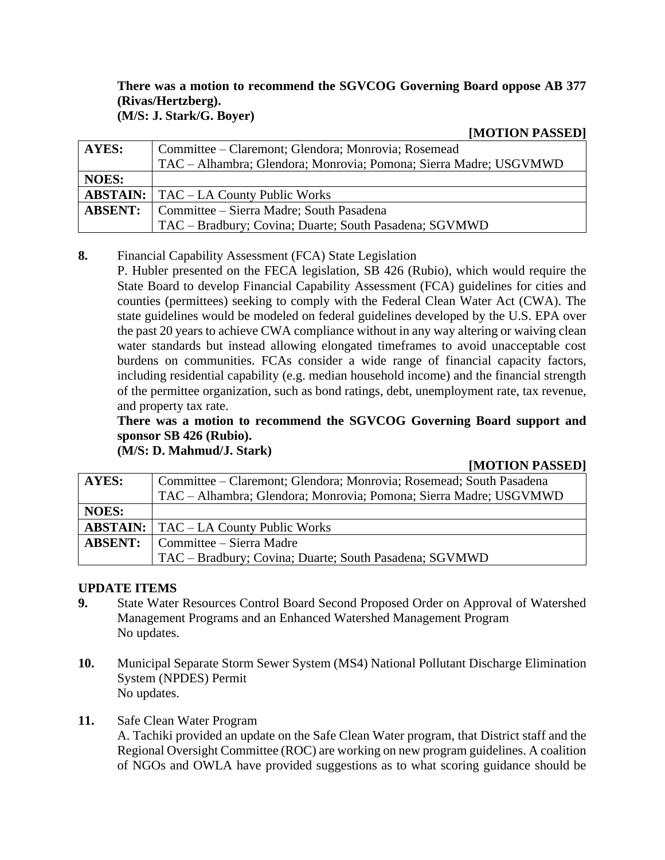#### **There was a motion to recommend the SGVCOG Governing Board oppose AB 377 (Rivas/Hertzberg). (M/S: J. Stark/G. Boyer)**

**[MOTION PASSED]**

| AYES:          | Committee – Claremont; Glendora; Monrovia; Rosemead               |
|----------------|-------------------------------------------------------------------|
|                | TAC – Alhambra; Glendora; Monrovia; Pomona; Sierra Madre; USGVMWD |
| <b>NOES:</b>   |                                                                   |
|                | <b>ABSTAIN:</b>   TAC – LA County Public Works                    |
| <b>ABSENT:</b> | Committee – Sierra Madre; South Pasadena                          |
|                | TAC – Bradbury; Covina; Duarte; South Pasadena; SGVMWD            |

## **8.** Financial Capability Assessment (FCA) State Legislation

P. Hubler presented on the FECA legislation, SB 426 (Rubio), which would require the State Board to develop Financial Capability Assessment (FCA) guidelines for cities and counties (permittees) seeking to comply with the Federal Clean Water Act (CWA). The state guidelines would be modeled on federal guidelines developed by the U.S. EPA over the past 20 years to achieve CWA compliance without in any way altering or waiving clean water standards but instead allowing elongated timeframes to avoid unacceptable cost burdens on communities. FCAs consider a wide range of financial capacity factors, including residential capability (e.g. median household income) and the financial strength of the permittee organization, such as bond ratings, debt, unemployment rate, tax revenue, and property tax rate.

## **There was a motion to recommend the SGVCOG Governing Board support and sponsor SB 426 (Rubio).**

**(M/S: D. Mahmud/J. Stark)**

**[MOTION PASSED]**

| AYES:          | Committee – Claremont; Glendora; Monrovia; Rosemead; South Pasadena |
|----------------|---------------------------------------------------------------------|
|                | TAC – Alhambra; Glendora; Monrovia; Pomona; Sierra Madre; USGVMWD   |
| <b>NOES:</b>   |                                                                     |
|                | <b>ABSTAIN:</b>   TAC – LA County Public Works                      |
| <b>ABSENT:</b> | Committee – Sierra Madre                                            |
|                | TAC - Bradbury; Covina; Duarte; South Pasadena; SGVMWD              |

## **UPDATE ITEMS**

- **9.** State Water Resources Control Board Second Proposed Order on Approval of Watershed Management Programs and an Enhanced Watershed Management Program No updates.
- **10.** Municipal Separate Storm Sewer System (MS4) National Pollutant Discharge Elimination System (NPDES) Permit No updates.
- **11.** Safe Clean Water Program

A. Tachiki provided an update on the Safe Clean Water program, that District staff and the Regional Oversight Committee (ROC) are working on new program guidelines. A coalition of NGOs and OWLA have provided suggestions as to what scoring guidance should be